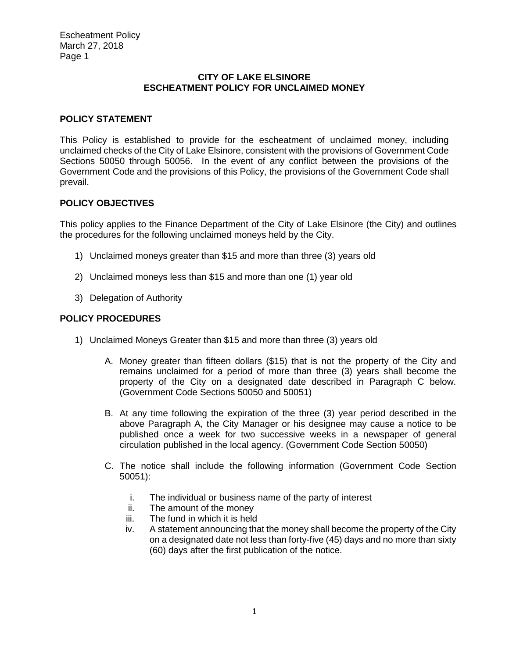## **CITY OF LAKE ELSINORE ESCHEATMENT POLICY FOR UNCLAIMED MONEY**

## **POLICY STATEMENT**

This Policy is established to provide for the escheatment of unclaimed money, including unclaimed checks of the City of Lake Elsinore, consistent with the provisions of Government Code Sections 50050 through 50056. In the event of any conflict between the provisions of the Government Code and the provisions of this Policy, the provisions of the Government Code shall prevail.

## **POLICY OBJECTIVES**

This policy applies to the Finance Department of the City of Lake Elsinore (the City) and outlines the procedures for the following unclaimed moneys held by the City.

- 1) Unclaimed moneys greater than \$15 and more than three (3) years old
- 2) Unclaimed moneys less than \$15 and more than one (1) year old
- 3) Delegation of Authority

## **POLICY PROCEDURES**

- 1) Unclaimed Moneys Greater than \$15 and more than three (3) years old
	- A. Money greater than fifteen dollars (\$15) that is not the property of the City and remains unclaimed for a period of more than three (3) years shall become the property of the City on a designated date described in Paragraph C below. (Government Code Sections 50050 and 50051)
	- B. At any time following the expiration of the three (3) year period described in the above Paragraph A, the City Manager or his designee may cause a notice to be published once a week for two successive weeks in a newspaper of general circulation published in the local agency. (Government Code Section 50050)
	- C. The notice shall include the following information (Government Code Section 50051):
		- i. The individual or business name of the party of interest
		- ii. The amount of the money
		- iii. The fund in which it is held
		- iv. A statement announcing that the money shall become the property of the City on a designated date not less than forty-five (45) days and no more than sixty (60) days after the first publication of the notice.